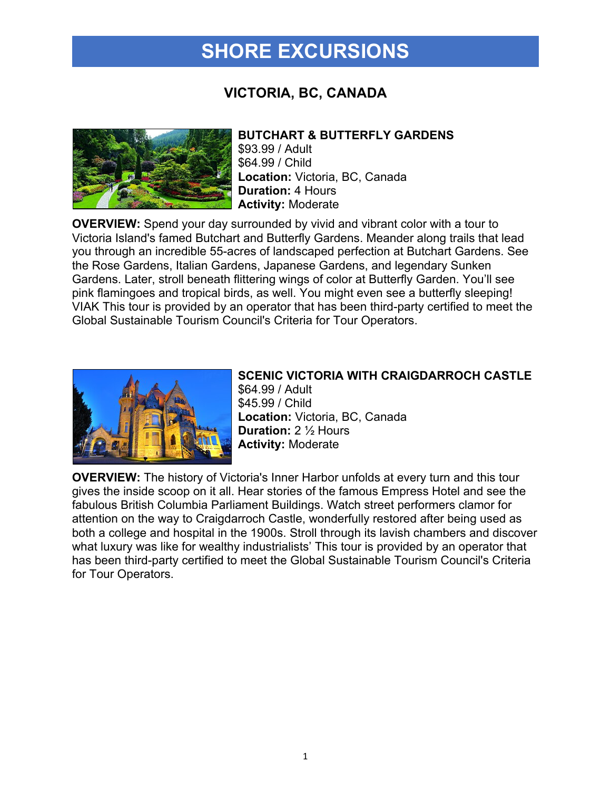# **SHORE EXCURSIONS**

### **VICTORIA, BC, CANADA**



### **BUTCHART & BUTTERFLY GARDENS**

\$93.99 / Adult \$64.99 / Child **Location:** Victoria, BC, Canada **Duration:** 4 Hours **Activity:** Moderate

**OVERVIEW:** Spend your day surrounded by vivid and vibrant color with a tour to Victoria Island's famed Butchart and Butterfly Gardens. Meander along trails that lead you through an incredible 55-acres of landscaped perfection at Butchart Gardens. See the Rose Gardens, Italian Gardens, Japanese Gardens, and legendary Sunken Gardens. Later, stroll beneath flittering wings of color at Butterfly Garden. You'll see pink flamingoes and tropical birds, as well. You might even see a butterfly sleeping! VIAK This tour is provided by an operator that has been third-party certified to meet the Global Sustainable Tourism Council's Criteria for Tour Operators.



#### **SCENIC VICTORIA WITH CRAIGDARROCH CASTLE**

\$64.99 / Adult \$45.99 / Child **Location:** Victoria, BC, Canada **Duration:** 2 ½ Hours **Activity:** Moderate

**OVERVIEW:** The history of Victoria's Inner Harbor unfolds at every turn and this tour gives the inside scoop on it all. Hear stories of the famous Empress Hotel and see the fabulous British Columbia Parliament Buildings. Watch street performers clamor for attention on the way to Craigdarroch Castle, wonderfully restored after being used as both a college and hospital in the 1900s. Stroll through its lavish chambers and discover what luxury was like for wealthy industrialists' This tour is provided by an operator that has been third-party certified to meet the Global Sustainable Tourism Council's Criteria for Tour Operators.